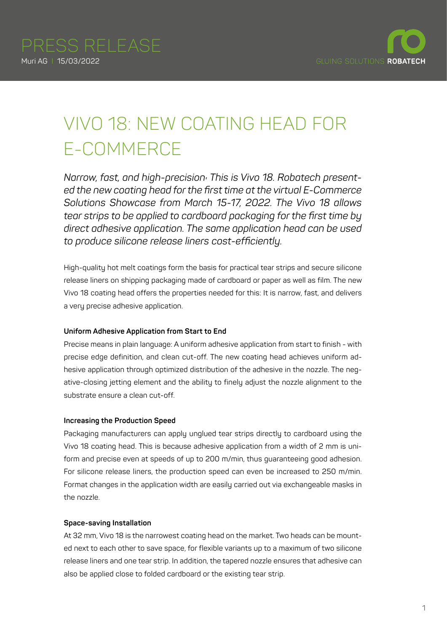

# VIVO 18: NEW COATING HEAD FOR E-COMMERCE

*Narrow, fast, and high-precision: This is Vivo 18. Robatech presented the new coating head for the first time at the virtual E-Commerce Solutions Showcase from March 15-17, 2022. The Vivo 18 allows tear strips to be applied to cardboard packaging for the first time by direct adhesive application. The same application head can be used to produce silicone release liners cost-efficiently.*

High-quality hot melt coatings form the basis for practical tear strips and secure silicone release liners on shipping packaging made of cardboard or paper as well as film. The new Vivo 18 coating head offers the properties needed for this: It is narrow, fast, and delivers a very precise adhesive application.

### **Uniform Adhesive Application from Start to End**

Precise means in plain language: A uniform adhesive application from start to finish - with precise edge definition, and clean cut-off. The new coating head achieves uniform adhesive application through optimized distribution of the adhesive in the nozzle. The negative-closing jetting element and the ability to finely adjust the nozzle alignment to the substrate ensure a clean cut-off.

### **Increasing the Production Speed**

Packaging manufacturers can apply unglued tear strips directly to cardboard using the Vivo 18 coating head. This is because adhesive application from a width of 2 mm is uniform and precise even at speeds of up to 200 m/min, thus guaranteeing good adhesion. For silicone release liners, the production speed can even be increased to 250 m/min. Format changes in the application width are easily carried out via exchangeable masks in the nozzle.

#### **Space-saving Installation**

At 32 mm, Vivo 18 is the narrowest coating head on the market. Two heads can be mounted next to each other to save space, for flexible variants up to a maximum of two silicone release liners and one tear strip. In addition, the tapered nozzle ensures that adhesive can also be applied close to folded cardboard or the existing tear strip.